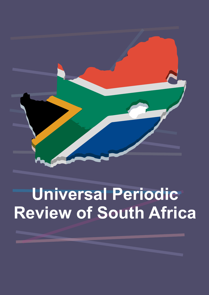

# **Universal Periodic Review of South Africa**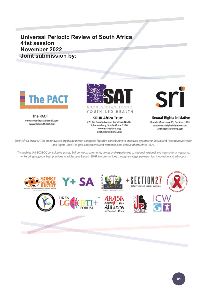# **Universal Periodic Review of South Africa 41st session November 2022 Joint submission by:**



**The PACT** contactyouthpact@gmail.com www.theyouthpact.org



**SRHR Africa Trust** 225 Jan Smuts Avenue, Parktown North, Johannesburg, South Africa, 2196 www.satregional.org singh@satregional.org



**Sexual Rights Initiative** Rue de Monthoux 25, Genève, 1201 www.sexualrightsinitiative.com anthea@srigeneva.com

SRHR Africa Trust (SAT) is an innovative organization with a regional footprint contributing to improved systems for Sexual and Reproductive Health and Rights (SRHR) of girls, adolescents and women in East and Southern Africa (ESA).

Through its UN-ECOSOC consultative status, SAT connects community voices and experiences to national, regional and international networks, while bringing global best practices in adolescent & youth SRHR to communities through strategic partnerships, innovation and advocacy.

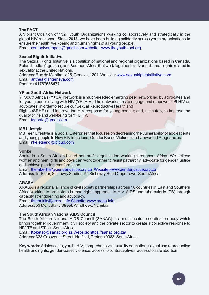#### **The PACT**

A Vibrant Coalition of 152+ youth Organizations working collaboratively and strategically in the global HIV response. Since 2013, we have been building solidarity across youth organisations to ensure the health, well-being and human rights of all young people.

Email: [contactyouthpact@gmail.com website:](https://www.knowledgehub.org.za/system/files/elibdownloads/2021-03/Termination%20of%20Pregnancy%20Guideline_Final_2021.pdf) [www.theyouthpact.org](https://zaf01.safelinks.protection.outlook.com/?url=https%3A%2F%2Funesdoc.unesco.org%2Fark%3A%2F48223%2Fpf0000378963%3Flocale%3Den&data=04%7C01%7Csingh%40satregional.org%7C215aade5d1464d632fff08d9bfa536e6%7C77fb2c8acdc444c3b68ec1d98d2522d3%7C0%7C0%7C637751540153624685%7CUnknown%7CTWFpbGZsb3d8eyJWIjoiMC4wLjAwMDAiLCJQIjoiV2luMzIiLCJBTiI6Ik1haWwiLCJXVCI6Mn0%3D%7C2000&sdata=BMUei8UP5Gv8V3a49xvRXYEwjTiwGDVg3z9Ga8xxtOE%3D&reserved=0)

#### **Sexual Rights Initiative**

The Sexual Rights Initiative is a coalition of national and regional organizations based in Canada, Poland, India, Argentina, and Southern Africa that work together to advance human rights related to sexuality at the United Nations.

Email: [anthea@srigeneva.com](https://www.whatworks.co.za/documents/publications/373-intervention-report19-02-20/file)  Phone: +41767656477 Address: Rue de Monthoux 25, Geneva, 1201. Website: [www.sexualrightsinitiative.com](https://plan-international.org/sexual-health/teenage-pregnancy?gclid=CjwKCAjw95yJBhAgEiwAmRrutKMa0O-OGuX42GR5OZqtzsfibue88UVX1Sx4_yhOQ8bsU3nlsDgBEBoCgnkQAvD_BwE)

#### **YPlus South Africa Network**

Y+South Africa's (Y+SA) Network is a much-needed emerging peer network led by advocates and for young people living with HIV (YPLHIV.) The network aims to engage and empower YPLHIV as advocates; in order to secure our Sexual Reproductive Health and

Rights (SRHR) and improve the HIV response for young people; and, ultimately, to improve the quality of life and well-being for YPLHIV.

Email: tngoato@gmail.com

#### **MB Lifestyle**

MB Teen Lifestyle is a Social Enterprise that focuses on decreasing the vulnerability of adolescents and young people to New HIV infections, Gender Based Violence and Unwanted Pregnancies. Email: nkeletseng@icloud.com

#### **Sonke**

Sonke is a South African-based non-profit organisation working throughout Africa. We believe women and men, girls and boys can work together to resist patriarchy, advocate for gender justice and achieve gender transformation.

Email: thembelihle@genderjustice.org.za Website: www.genderjustice.org.za Address:1st Floor, Sir Lowry Studios, 95 Sir Lowry Road Cape Town, South Africa

#### **ARASA**

ARASA is a regional alliance of civil society partnerships across 18 countries in East and Southern Africa working to promote a human rights approach to HIV, AIDS and tuberculosis (TB) through capacity strengthening and advocacy.

Email: thuthukile@arasa.info Website: www.arasa.info

Address: 53 Mont Blanc Street, Windhoek, Namibia

#### **The South African National AIDS Council**

The South African National AIDS Council (SANAC) is a multisecotral coordination body which brings together government, civil society and the private sector to create a collective response to HIV, TB and STIs in South Africa.

Email: Koketso@sanac.org.za Website: https://sanac.org.za/

Address: 333 Grosvenor Street, Hatfield, Pretoria 0083, South Africa

**Key words:**Adolescents, youth, HIV, comprehensive sexuality education, sexual and reproductive health and rights, gender-based violence, access to contraceptives, access to safe abortion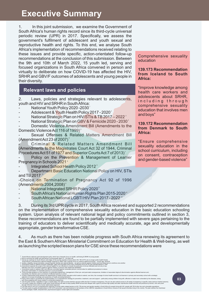# **Executive Summary**

1. In this joint submission, we examine the Government of South Africa's human rights record since its third-cycle universal periodic review (UPR) in 2017. Specifically, we assess the government's fulfilment of adolescent and youth sexual and reproductive health and rights. To this end, we analyse South Africa's implementation of recommendations received relating to these issues and provide specific, action-orientated follow-up recommendations at the conclusion of this submission. Between the 9th and 10th of March 2022, 15 youth led, serving and focused organizations in South Africa convened in person and virtually to deliberate on how COVID-19 has affected the HIV, SRHR and GBV/F outcomes of adolescents and young people in their diversity.

# **Relevant laws and policies**

2. Laws, policies and strategies relevant to adolescents, youth and HIV and SRHR in South Africa:

- National Youth Policy 2020 -2030 1
- Adolescent & Youth Health Policy 2017 2020 $^{\circ}$

- National Strategic Plan on HIV/STIs & TB 2017 – 2022  $^{\circ}$ 

- National Strategic Plan on GBV & Femicide 2020 - 2030 4

Domestic Violence Amendment Bill (Amendments to the Domestic Violence Act 116 of 1999) 5

Sexual Offenses & Related Matters Amendment Bill (Amendment Act 23 of 2007) 6

Criminal & Related Matters Amendment Bill (Amendments to the Magistrates Court Act 32 of 1944, Criminal Procedures Act 51 of 1977 and Superior Courts Act 7 of 2013)<sup>7</sup>

Policy on the Prevention & Management of Learner Pregnancy in Schools 2021<sup>®</sup>

- Integrated School Health Policy 2012<sup>®</sup>

Department Basic Education National Policy on HIV, STIs and TB 2017  $^{\circ}$ 

-Choice on Termination of Pregnancy Act 92 of 1996 (Amendments 2004,2008)"

- National Integrated SRHR Policy 2020<sup>12</sup>
- South Africa's National Human Rights Plan 2015-2020 13
- South African National LGBTI HIV Plan 2017 2022 14

Comprehensive sexuality education

#### **139.173 Recommendation from Iceland to South Africa:**

"Improve knowledge among health care workers and adolescents about SRHR, including through comprehensive sexuality education that involves men and boys"

#### **139.172 Recommendation from Denmark to South Africa:**

"Ensure comprehensive sexuality education in the school curriculum, including on consent, contraception and gender-based violence"

**03**

3. During its 3rd UPR cycle in 2017, South Africa received and supported 2 recommendations on the implementation of comprehensive sexuality education in the basic education schooling system. Upon analysis of relevant national legal and policy commitments outlined in section 3, these recommendations are found to be partially implemented with severe gaps pertaining to the training of educators to deliver scientifically and medically accurate, age and developmentally appropriate, gender transformative CSE.

4. As much as there has been notable progress with South Africa renewing its agreement to the East & Southern African Ministerial Commitment on Education for Health & Well-being, as well as launching the scripted lesson plans for CSE since these recommendations were

10

Surfix Africa's national youth development policy which has a thermal follow. The ASTIS are no hoper public health threshs.<br>Surfix By promote the health and well-being of young people aged 10 – 24 years old.<br>Which are too 14 13

<sup>1</sup> 2

<sup>4</sup> 5 6

<sup>7</sup>

<sup>8</sup>

<sup>9</sup>

<sup>12</sup> 11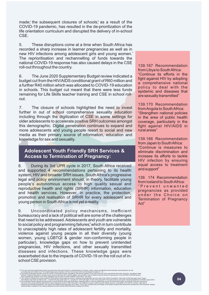made; the subsequent closures of schools, as a result of the COVID-19 pandemic, has resulted in the de-prioritization of the life orientation curriculum and disrupted the delivery of in-school CSE.

5. These disruptions come at a time when South Africa has recorded a sharp increase in learner pregnancies as well as in new HIV infections among adolescent girls and young women." The reprioritisation and rechannelling of funds towards the national COVID-19 response has also caused delays in the CSE roll-out throughout the country.

6. The June 2020 Supplementary Budget review indicated a budget cut from the HIV/AIDS conditional grant of R60 million and a further R40 million which was allocated to COVID-19 education in schools. This budget cut meant that there were less funds remaining for Life Skills teacher training and CSE in school rollout.

7. The closure of schools highlighted the need to invest further in out of school comprehensive sexuality education including through the digitization of CSE in some settings for older adolescents to accelerate positive SRH outcomes amongst this demographic. Digital penetration continues to expand and more adolescents and young people resort to social and new media as their primary source of information, education and knowledge for sex and sexuality.

### **Adolescent Youth Friendly SRH Services & Access to Termination of Pregnancy:**

8. During its 3rd UPR cycle in 2017, South Africa received and supported 4 recommendations pertaining to its health system, HIV and broader SRH issues. South Africa's progressive legal and policy environment should, in theory, facilitate young people's autonomous access to high quality sexual and reproductive health and rights (SRHR) information, education and health services. However, in practice, the protection, promotion and realisation of SRHR for every adolescent and young person in South Africa is not yet a reality.

9. Uncoordinated policy mechanisms, inefficient bureaucracy and a lack of political will are some of the challenges that need to be addressed. Adolescents and youth are vulnerable to social policy and programming failures<sup>®</sup>, which in turn contribute to unacceptably high rates of adolescent fertility and mortality, violence against young people in all their diversity (young women, young LGBTQI & gender non-conforming people in particular), knowledge gaps on how to prevent unintended pregnancies, HIV infections, and other sexually transmitted diseases and infections. These knowledge gaps were exacerbated due to the impacts of COVID-19 on the roll out of inschool CSE provision.

139.167 Recommendation from Libya to South Africa: "Continue its efforts in the fight against HIV by adopting a comprehensive national policy to deal with the epidemic and diseases that are sexually transmitted"

"Strengthen national policies in the area of public health coverage, particularly in the fight against HIV/AIDS in rural areas" 139.170 Recommendation from Angola to South Africa:

"Continue is measures to eliminate discrimination and increase its efforts to tackle HIV infection by ensuring equal access to treatment and support" 139.166 Recommendation from Japan to South Africa:

"Prevent unwanted pregnancies as provided under the Choice on Termination of Pregnancy Act" 139. 174 Recommendation from Iceland to South Africa:

The new structured scripted lesson plans are purposed to help learners build an understanding of concepts, content with the findings of the situation analysis that informed the development of the structure scripts and alte 18 17

<sup>15</sup> 16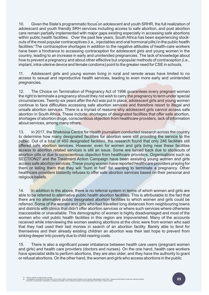10. Given the State's programmatic focus on adolescent and youth SRHR, the full realization of adolescent and youth friendly SRH services including access to safe abortion, and post abortion care remain partially implemented with major gaps existing especially in accessing safe abortions within public health facilities. Over the past few years, South Africa has been experiencing stockouts of the most popular contraceptives (i.e., injectables and oral hormonal pills) in the public health facilities.<sup>®</sup>The contraceptive shortages in addition to the negative attitudes of health-care workers have been a hindrance to accessing contraception for adolescent girls and young women in the country, leading to an increase in early and unintended pregnancies. The lack of knowledge about how to prevent a pregnancy and about other effective but unpopular methods of contraception (i.e., implant, intra-uterine device and female condoms) point to the greater need for CSE in schools.

11. Adolescent girls and young women living in rural and remote areas have limited to no access to sexual and reproductive health services, leading to even more early and unintended pregnancies.

12. The Choice on Termination of Pregnancy Act of 1996 guarantees every pregnant woman the right to terminate a pregnancy should they not wish to carry the pregnancy to term under special circumstances. Twenty-six years after the Act was put in place, adolescent girls and young women continue to face difficulties accessing safe abortion services and therefore resort to illegal and unsafe abortion services. There is a myriad of reasons why adolescent girls cannot access safe abortion in South Africa. These include: shortages of designated facilities that offer safe abortion, shortages of abortion drugs, conscientious objection from healthcare providers, lack of information about services, among many others.

13. In 2017, the Bhekisisa Centre for Health journalism conducted research across the country to determine how many designated facilities for abortion were still providing the service to the public. Out of a total of 450 designated facilities, the research found that only 246 facilities still offered safe abortion services. However, even for women and girls living near these facilities access to abortion related services is still an issue. Some are turned back due to stockouts of abortion pills or due to conscientious objection from healthcare providers. Organisations such as SECTION27 and the Treatment Action Campaign have been assisting young women and girls access safe abortion services. These young women have reported healthcare providers praying for them or telling them that they will "burn in hell" for wanting to terminate a pregnancy. Other healthcare providers blatantly refuses to offer safe abortion services based on their personal and religious beliefs.

14. In addition to the above, there is no referral system in terms of which women and girls are able to be referred to alternative public health abortion facilities. This is attributable to the fact that there are no alternative public designated abortion facilities to which women and girls could be referred. Some of the women and girls who had travelled long distances from neighbouring towns and districts with clinics that didn't offer abortion services or where such services where otherwise inaccessible or unavailable. This demographic of women is highly disadvantaged and most of the women who visit public health facilities in this region are impoverished. Many of the accounts received while interviewing the women seeking abortions at the clinic were from women who said that they had used their last monies in search of an abortion facility. Barely able to fend for themselves and their already existing children an abortion was their last hope to prevent from sinking deeper into poverty due to child-rearing costs.

15. There is also a significant power imbalance between health care users (pregnant women and girls) and health care providers (doctors and nurses). On the one hand, health care workers have specialist skills to perform abortions, they are also older, and they have the authority to grant or refusal abortions. On the other hand, the women and girls who access abortions in the public

Refer to section on legal & policy context.<br>Investigations conducted by the Stop Stock Outs Project (SSP) reveal that health facilities across Gauteng, Mpumalanga, North West, Limpopo and the Eastern Cape have reported ong 19 20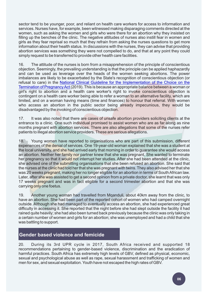sector tend to be younger, poor, and reliant on health care workers for access to information and services. Nurses have, for example, been witnessed making disparaging comments directed at the women, such as asking the women and girls who were there for an abortion why they insisted on filling up the benches of the clinic. The negative attitudes of nurses also instill fear in women and girls as they fear reprisal so much that they refrain from asking the nurses questions to get more information about their health status. In discussions with the nurses, they can advise that providing abortion services was something they were not compelled to do, and that at any point they could simply request to be transferred to provide other health care facilities.

16. The attitude of the nurses is born from a misapprehension of the principle of conscientious objection. Seemingly, the prevailing understanding is that the principle can be applied haphazardly and can be used as leverage over the heads of the women seeking abortions. The power imbalances are likely to be exacerbated by the State's recognition of conscientious objection (or refusal to care) in the [National Clinical Guideline for the Implementation of the Choice on the](https://www.knowledgehub.org.za/system/files/elibdownloads/2021-03/Termination%20of%20Pregnancy%20Guideline_Final_2021.pdf)  [Termination of Pregnancy Act \(](https://www.knowledgehub.org.za/system/files/elibdownloads/2021-03/Termination%20of%20Pregnancy%20Guideline_Final_2021.pdf)2019). This is because an appropriate balance between a woman or girl's right to abortion and a health care worker's right to invoke conscientious objection is contingent on a health care worker being able to refer a woman to an alternative facility, which are limited, and on a woman having means (time and finances) to honour that referral. With women who access an abortion in the public sector being already impecunious, they would be disadvantaged by the invoking of conscientious objection.

17. It was also noted that there are cases of unsafe abortion providers soliciting clients at the entrance to a clinic. One such individual promised to assist women who are as far along as nine months pregnant with abortion services. There are also allegations that some of the nurses refer patients to illegal abortion service providers. These are serious allegations.

18. Young women have reported to organisations who are part of this submission, different experiences of the denial of services. One 19-year-old woman explained that she was a student at the local university, and she had arrived early that morning in order to guarantee she would access an abortion. Neither her family nor partner knew that she was pregnant. She wanted to terminate her pregnancy so that it would not interrupt her studies. After she had been attended at the clinic, she advised one of the submitting organisations that she been refused an abortion. She said that the nurses at the clinic had told her that she was pregnant with twins. They also advised her that she was 20 weeks pregnant, making her no longer eligible for an abortion in terms of South African law. Later, after she was assisted to get a second opinion from a private doctor, she learnt that was only 17 weeks pregnant and was in fact eligible for a second trimester abortion and that she was carrying only one foetus.

19. Another young woman had travelled from Mqanduli, about 40km away from the clinic, to have an abortion. She had been part of the reported cohort of women who had camped overnight outside. Although she had managed to eventually access an abortion, she had experienced great difficulty in accessing it. She reported that the night before she had slept outside the facility it had rained quite heavily; she had also been turned back previously because the clinic was only taking in a certain number of women and girls for an abortion; she was unemployed and had a child that she was battling to support.

# **Gender based violence and femicide**

20. During its 3rd UPR cycle in 2017, South Africa received and supported 18 recommendations pertaining to gender-based violence, discrimination and the eradication of harmful practices. South Africa has extremely high levels of GBV, defined as physical, economic, sexual and psychological abuse as well as rape, sexual harassment and trafficking of women and men for sex, and sexual exploitation. Youth have not escaped the high rates of GBV.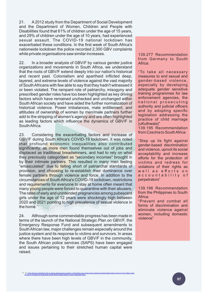21. A2012 study from the Department of Social Development and the Department of Women, Children and People with Disabilities found that 61% of children under the age of 15 years, and 29% of children under the age of 10 years, had experienced sexual assault. The COVID-19 national lockdown has exacerbated these conditions. In the first week of South Africa's nationwide lockdown the police recorded 2,300 GBV complaints while private organisations saw similar increases. 139.277 Recommendation

22. In a broader analysis of GBV/F by various gender justice organizations and movements in South Africa, we understand that the roots of GBV/F extend deeply into our nation's historical and recent past. Colonialism and apartheid inflicted deep, layered, and extreme levels of violence against the vast majority of South Africans with few able to say that they hadn't witnessed it or been violated. The rampant role of patriarchy, misogyny and prescribed gender roles have too been highlighted as key driving factors which have remained unchecked and unchanged within South African society and have aided the further normalization of historical violence. Power imbalances, male entitlement, and attitudes of ownership of women by men/male partners further add to the stripping of women's agency and are often highlighted as leading factors which influence the dynamics of GBV/F in South Africa.

23. Considering the exacerbating factors and increase of GBV/F during South Africa's COVID-19 lockdown, it was noted that profound economic inequalities also contributed significantly, as more men found themselves out of jobs and displaced as traditional breadwinners, and had to rely on what they previously categorised as "secondary incomes" brought in by their intimate partners. This resulted in many men feeling "emasculated" due to falling short of patriarchal standards of provision, and choosing to re-establish their dominance over female partners through violence and force. In addition to the circumstances of South Africa's COVID-19 lockdown, restrictions and requirements for everyone to stay at home often meant that many young people were forced to quarantine with their abusers. The rates of early and unintended pregnancies among pubescent girls under the age of 12 years were shockingly high between 2020 and 2021 pointing to high prevalence of sexual violence in the home. $^{21}$ 

24. Although some commendable progress has been made in terms of the launch of the National Strategic Plan on GBV/F, the Emergency Response Fund and subsequent amendments to South African law, major challenges remain especially around the justice system and its response to victims and survivors. In areas where there have been high levels of GBV/F in the community, the South African police services (SAPS) have been engaged and issues pertaining to their stretched human capital were raised.

from Germany to South Africa:

"To take all necessary measures to end sexual and gender-based violence, especially by developing adequate gender sensitive training programmes for law enforcement agencies, the n a tional prosecuting authority and judicial officers and by adopting specific legislation addressing the practice of child marriage (uKuthwala)"

139.195 Recommendation from Czechia to South Africa:

"Step up its fight against gender-based discrimination and violence, uproot its social acceptability and increase efforts for the protection of victims and redress for violations of their rights as well as efforts on a c c o u n t a b i lit v o f perpetrators"

139.196 Recommendation from the Philippines to South Africa:

"Prevent and combat all forms of discrimination and eliminate violence against women, including domestic violence"

One [factor that has contributed to this is violence against women and girls. In South Africa](https://plan-international.org/sexual-health/teenage-pregnancy?gclid=CjwKCAjw95yJBhAgEiwAmRrutKMa0O-OGuX42GR5OZqtzsfibue88UVX1Sx4_yhOQ8bsU3nlsDgBEBoCgnkQAvD_BwE) [one in three women experience gender based-violence and](https://www.whatworks.co.za/documents/publications/373-intervention-report19-02-20/file) one in five children under [the age of 18 experience sexual abuse \(South African medical research council, September 2021\).](https://gh.bmj.com/content/3/1/e000573)  21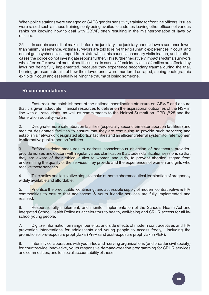When police stations were engaged on SAPS gender sensitivity training for frontline officers, issues were raised such as these trainings only being availed to cadettes leaving other officers of various ranks not knowing how to deal with GBV/F, often resulting in the misinterpretation of laws by officers.

25. In certain cases that make it before the judiciary, the judiciary hands down a sentence lower than minimum sentence, victims/survivors are told to relive their traumatic experiences in court, and do not get psychosocial support from state which this causes secondary victimisation, and in other cases the police do not investigate reports further. This further negatively impacts victims/survivors who often suffer several mental health issues. In cases of femicide, victims' families are affected by laws not being fully implemented, because they experience secondary trauma during the trial, hearing gruesome details of how their loved ones were murdered or raped, seeing photographic exhibits in court and essentially reliving the trauma of losing someone.

# **Recommendations**

1. Fast-track the establishment of the national coordinating structure on GBV/F and ensure that it is given adequate financial resources to deliver on the aspirational outcomes of the NSP in line with all resolutions, as well as commitments to the Nairobi Summit on ICPD  $@25$  and the Generation Equality Forum.

2. Designate more safe abortion facilities (especially second trimester abortion facilities) and monitor designated facilities to ensure that they are continuing to provide such services; and establish a network of designated abortion facilities and an efficient referral system ito refer women to alternative public abortion facilities.

3. Enforce stricter measures to address conscientious objection of healthcare provider: provide nurses and doctors with regular values clarification & attitudes clarification sessions so that they are aware of their ethical duties to women and girls, to prevent abortion stigma from undermining the quality of the services they provide and the experiences of women and girls who receive those services.

4. Take policy and legislative steps to make at-home pharmaceutical termination of pregnancy widely available and affordable.

5. Prioritize the predictable, continuing, and accessible supply of modern contraceptive & HIV commodities to ensure that adolescent & youth friendly services are fully implemented and realised.

6. Resource, fully implement, and monitor implementation of the Schools Health Act and Integrated School Health Policy as accelerators to health, well-being and SRHR access for all inschool young people.

7. Digitize information on range, benefits, and side effects of modern contraceptives and HIV prevention interventions for adolescents and young people to access freely, including the promotion of pre-exposure prophylaxis (PreP) and post-exposure prophylaxis (PEP).

8. Intensify collaborations with youth-led and -serving organizations (and broader civil society) for country-wide innovative, youth responsive demand-creation programming for SRHR services and commodities, and for social accountability of these.